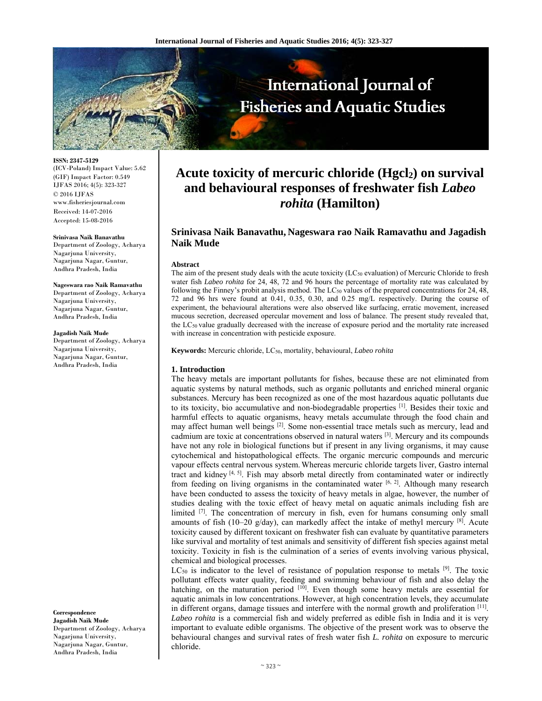

**ISSN: 2347-5129** 

(ICV-Poland) Impact Value: 5.62 (GIF) Impact Factor: 0.549 IJFAS 2016; 4(5): 323-327 © 2016 IJFAS www.fisheriesjournal.com Received: 14-07-2016 Accepted: 15-08-2016

#### **Srinivasa Naik Banavathu**

Department of Zoology, Acharya Nagarjuna University, Nagarjuna Nagar, Guntur, Andhra Pradesh, India

#### **Nageswara rao Naik Ramavathu**

Department of Zoology, Acharya Nagarjuna University, Nagarjuna Nagar, Guntur, Andhra Pradesh, India

#### **Jagadish Naik Mude**

Department of Zoology, Acharya Nagarjuna University, Nagarjuna Nagar, Guntur, Andhra Pradesh, India

**Correspondence Jagadish Naik Mude** Department of Zoology, Acharya Nagarjuna University, Nagarjuna Nagar, Guntur, Andhra Pradesh, India

# Acute toxicity of mercuric chloride (Hgcl<sub>2</sub>) on survival **and behavioural responses of freshwater fish** *Labeo rohita* **(Hamilton)**

# **Srinivasa Naik Banavathu, Nageswara rao Naik Ramavathu and Jagadish Naik Mude**

#### **Abstract**

The aim of the present study deals with the acute toxicity (LC<sub>50</sub> evaluation) of Mercuric Chloride to fresh water fish *Labeo rohita* for 24, 48, 72 and 96 hours the percentage of mortality rate was calculated by following the Finney's probit analysis method. The  $LC_{50}$  values of the prepared concentrations for 24, 48, 72 and 96 hrs were found at 0.41, 0.35, 0.30, and 0.25 mg/L respectively. During the course of experiment, the behavioural alterations were also observed like surfacing, erratic movement, increased mucous secretion, decreased opercular movement and loss of balance. The present study revealed that, the LC50 value gradually decreased with the increase of exposure period and the mortality rate increased with increase in concentration with pesticide exposure.

**Keywords:** Mercuric chloride, LC50, mortality, behavioural, *Labeo rohita*

#### **1. Introduction**

The heavy metals are important pollutants for fishes, because these are not eliminated from aquatic systems by natural methods, such as organic pollutants and enriched mineral organic substances. Mercury has been recognized as one of the most hazardous aquatic pollutants due to its toxicity, bio accumulative and non-biodegradable properties [1]. Besides their toxic and harmful effects to aquatic organisms, heavy metals accumulate through the food chain and may affect human well beings  $[2]$ . Some non-essential trace metals such as mercury, lead and cadmium are toxic at concentrations observed in natural waters [3]. Mercury and its compounds have not any role in biological functions but if present in any living organisms, it may cause cytochemical and histopathological effects. The organic mercuric compounds and mercuric vapour effects central nervous system. Whereas mercuric chloride targets liver, Gastro internal tract and kidney  $[4, 5]$ . Fish may absorb metal directly from contaminated water or indirectly from feeding on living organisms in the contaminated water  $[6, 2]$ . Although many research have been conducted to assess the toxicity of heavy metals in algae, however, the number of studies dealing with the toxic effect of heavy metal on aquatic animals including fish are limited [7]. The concentration of mercury in fish, even for humans consuming only small amounts of fish (10-20 g/day), can markedly affect the intake of methyl mercury [8]. Acute toxicity caused by different toxicant on freshwater fish can evaluate by quantitative parameters like survival and mortality of test animals and sensitivity of different fish species against metal toxicity. Toxicity in fish is the culmination of a series of events involving various physical, chemical and biological processes.

 $LC_{50}$  is indicator to the level of resistance of population response to metals  $[9]$ . The toxic pollutant effects water quality, feeding and swimming behaviour of fish and also delay the hatching, on the maturation period <sup>[10]</sup>. Even though some heavy metals are essential for aquatic animals in low concentrations. However, at high concentration levels, they accumulate in different organs, damage tissues and interfere with the normal growth and proliferation [11]. *Labeo rohita* is a commercial fish and widely preferred as edible fish in India and it is very important to evaluate edible organisms. The objective of the present work was to observe the behavioural changes and survival rates of fresh water fish *L. rohita* on exposure to mercuric chloride.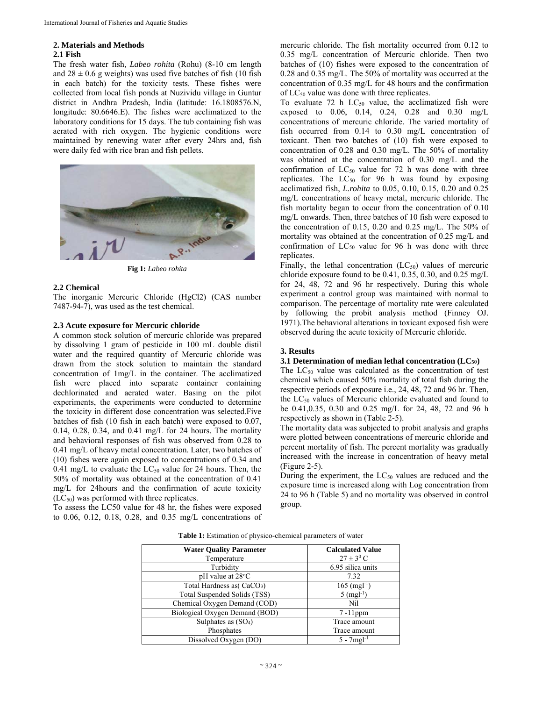# **2. Materials and Methods**

### **2.1 Fish**

The fresh water fish, *Labeo rohita* (Rohu) (8-10 cm length and  $28 \pm 0.6$  g weights) was used five batches of fish (10 fish in each batch) for the toxicity tests. These fishes were collected from local fish ponds at Nuzividu village in Guntur district in Andhra Pradesh, India (latitude: 16.1808576.N, longitude: 80.6646.E). The fishes were acclimatized to the laboratory conditions for 15 days. The tub containing fish was aerated with rich oxygen. The hygienic conditions were maintained by renewing water after every 24hrs and, fish were daily fed with rice bran and fish pellets.





#### **2.2 Chemical**

The inorganic Mercuric Chloride (HgCl2) (CAS number 7487-94-7), was used as the test chemical.

## **2.3 Acute exposure for Mercuric chloride**

A common stock solution of mercuric chloride was prepared by dissolving 1 gram of pesticide in 100 mL double distil water and the required quantity of Mercuric chloride was drawn from the stock solution to maintain the standard concentration of 1mg/L in the container. The acclimatized fish were placed into separate container containing dechlorinated and aerated water. Basing on the pilot experiments, the experiments were conducted to determine the toxicity in different dose concentration was selected.Five batches of fish (10 fish in each batch) were exposed to 0.07, 0.14, 0.28, 0.34, and 0.41 mg/L for 24 hours. The mortality and behavioral responses of fish was observed from 0.28 to 0.41 mg/L of heavy metal concentration. Later, two batches of (10) fishes were again exposed to concentrations of 0.34 and 0.41 mg/L to evaluate the  $LC_{50}$  value for 24 hours. Then, the 50% of mortality was obtained at the concentration of 0.41 mg/L for 24hours and the confirmation of acute toxicity  $(LC_{50})$  was performed with three replicates.

To assess the LC50 value for 48 hr, the fishes were exposed to 0.06, 0.12, 0.18, 0.28, and 0.35 mg/L concentrations of mercuric chloride. The fish mortality occurred from 0.12 to 0.35 mg/L concentration of Mercuric chloride. Then two batches of (10) fishes were exposed to the concentration of 0.28 and 0.35 mg/L. The 50% of mortality was occurred at the concentration of 0.35 mg/L for 48 hours and the confirmation of  $LC_{50}$  value was done with three replicates.

To evaluate 72 h  $LC_{50}$  value, the acclimatized fish were exposed to 0.06, 0.14, 0.24, 0.28 and 0.30 mg/L concentrations of mercuric chloride. The varied mortality of fish occurred from 0.14 to 0.30 mg/L concentration of toxicant. Then two batches of (10) fish were exposed to concentration of 0.28 and 0.30 mg/L. The 50% of mortality was obtained at the concentration of 0.30 mg/L and the confirmation of  $LC_{50}$  value for 72 h was done with three replicates. The  $LC_{50}$  for 96 h was found by exposing acclimatized fish, *L.rohita* to 0.05, 0.10, 0.15, 0.20 and 0.25 mg/L concentrations of heavy metal, mercuric chloride. The fish mortality began to occur from the concentration of 0.10 mg/L onwards. Then, three batches of 10 fish were exposed to the concentration of 0.15, 0.20 and 0.25 mg/L. The 50% of mortality was obtained at the concentration of 0.25 mg/L and confirmation of  $LC_{50}$  value for 96 h was done with three replicates.

Finally, the lethal concentration  $(LC_{50})$  values of mercuric chloride exposure found to be 0.41, 0.35, 0.30, and 0.25 mg/L for 24, 48, 72 and 96 hr respectively. During this whole experiment a control group was maintained with normal to comparison. The percentage of mortality rate were calculated by following the probit analysis method (Finney OJ. 1971).The behavioral alterations in toxicant exposed fish were observed during the acute toxicity of Mercuric chloride.

## **3. Results**

#### **3.1 Determination of median lethal concentration (LC50)**

The  $LC_{50}$  value was calculated as the concentration of test chemical which caused 50% mortality of total fish during the respective periods of exposure i.e., 24, 48, 72 and 96 hr. Then, the LC<sub>50</sub> values of Mercuric chloride evaluated and found to be 0.41,0.35, 0.30 and 0.25 mg/L for 24, 48, 72 and 96 h respectively as shown in (Table 2-5).

The mortality data was subjected to probit analysis and graphs were plotted between concentrations of mercuric chloride and percent mortality of fish. The percent mortality was gradually increased with the increase in concentration of heavy metal (Figure 2-5).

During the experiment, the  $LC_{50}$  values are reduced and the exposure time is increased along with Log concentration from 24 to 96 h (Table 5) and no mortality was observed in control group.

| <b>Water Quality Parameter</b>         | <b>Calculated Value</b>   |
|----------------------------------------|---------------------------|
| Temperature                            | $27 \pm 3^0$ C            |
| Turbidity                              | 6.95 silica units         |
| $pH$ value at $28^{\circ}C$            | 7.32                      |
| Total Hardness as (CaCO <sub>3</sub> ) | $165 \text{ (mgl-1)}$     |
| Total Suspended Solids (TSS)           | 5 (mgl <sup>-1)</sup>     |
| Chemical Oxygen Demand (COD)           | Nil                       |
| Biological Oxygen Demand (BOD)         | $7-11$ ppm                |
| Sulphates as $(SO4)$                   | Trace amount              |
| Phosphates                             | Trace amount              |
| Dissolved Oxygen (DO)                  | $5 - 7$ mgl <sup>-1</sup> |

**Table 1:** Estimation of physico-chemical parameters of water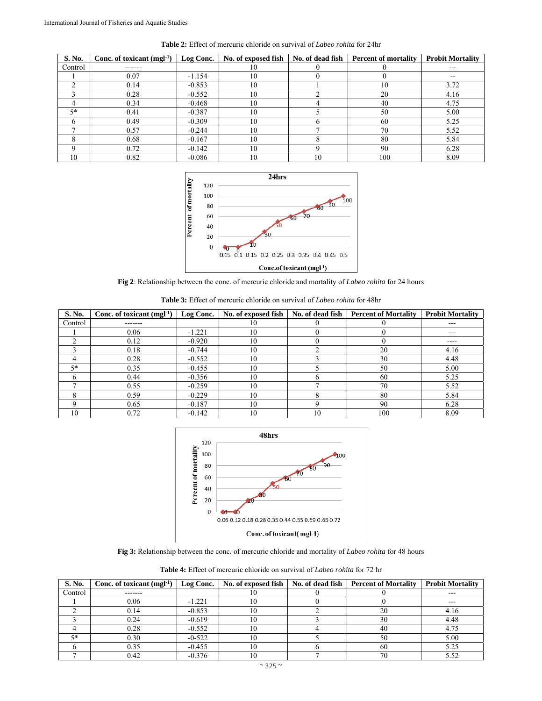| S. No.  | Conc. of toxicant $(mgl-1)$ | Log Conc. | No. of exposed fish | No. of dead fish | <b>Percent of mortality</b> | <b>Probit Mortality</b> |
|---------|-----------------------------|-----------|---------------------|------------------|-----------------------------|-------------------------|
| Control | -------                     |           | 10                  |                  |                             | $---$                   |
|         | 0.07                        | $-1.154$  | 10                  |                  |                             | $- -$                   |
|         | 0.14                        | $-0.853$  | 10                  |                  | 10                          | 3.72                    |
|         | 0.28                        | $-0.552$  | 10                  |                  | 20                          | 4.16                    |
|         | 0.34                        | $-0.468$  | 10                  |                  | 40                          | 4.75                    |
| $5*$    | 0.41                        | $-0.387$  | 10                  |                  | 50                          | 5.00                    |
|         | 0.49                        | $-0.309$  | 10                  |                  | 60                          | 5.25                    |
|         | 0.57                        | $-0.244$  | 10                  |                  | 70                          | 5.52                    |
|         | 0.68                        | $-0.167$  | 10                  |                  | 80                          | 5.84                    |
|         | 0.72                        | $-0.142$  | 10                  |                  | 90                          | 6.28                    |
| 10      | 0.82                        | $-0.086$  | 10                  | 10               | 100                         | 8.09                    |

**Table 2:** Effect of mercuric chloride on survival of *Labeo rohita* for 24hr



**Fig 2**: Relationship between the conc. of mercuric chloride and mortality of *Labeo rohita* for 24 hours

| <b>Table 3:</b> Effect of mercuric chloride on survival of <i>Labeo rohita</i> for 48hr |  |
|-----------------------------------------------------------------------------------------|--|
|-----------------------------------------------------------------------------------------|--|

| S. No.  | Conc. of toxicant $(mgl-1)$ | Log Conc. | No. of exposed fish | No. of dead fish | <b>Percent of Mortality</b> | <b>Probit Mortality</b>    |
|---------|-----------------------------|-----------|---------------------|------------------|-----------------------------|----------------------------|
| Control | -------                     |           | 10                  |                  |                             | $---$                      |
|         | 0.06                        | $-1.221$  | 10                  |                  |                             | $- - -$                    |
|         | 0.12                        | $-0.920$  | 10                  |                  |                             | $\qquad \qquad - \qquad -$ |
|         | 0.18                        | $-0.744$  | 10                  |                  | 20                          | 4.16                       |
|         | 0.28                        | $-0.552$  | 10                  |                  | 30                          | 4.48                       |
| $5*$    | 0.35                        | $-0.455$  | 10                  |                  | 50                          | 5.00                       |
| n       | 0.44                        | $-0.356$  | 10                  |                  | 60                          | 5.25                       |
|         | 0.55                        | $-0.259$  | 10                  |                  | 70                          | 5.52                       |
|         | 0.59                        | $-0.229$  | 10                  |                  | 80                          | 5.84                       |
|         | 0.65                        | $-0.187$  | 10                  |                  | 90                          | 6.28                       |
| 10      | 0.72                        | $-0.142$  | 10                  | 10               | 100                         | 8.09                       |



**Fig 3:** Relationship between the conc. of mercuric chloride and mortality of *Labeo rohita* for 48 hours

| <b>Table 4:</b> Effect of mercuric chloride on survival of <i>Labeo rohita</i> for 72 hr |  |
|------------------------------------------------------------------------------------------|--|
|------------------------------------------------------------------------------------------|--|

| S. No.  | Conc. of toxicant $(mgl-1)$ | Log Conc. | No. of exposed fish | No. of dead fish   Percent of Mortality | <b>Probit Mortality</b> |
|---------|-----------------------------|-----------|---------------------|-----------------------------------------|-------------------------|
| Control | -------                     |           |                     |                                         | ---                     |
|         | 0.06                        | $-1.221$  | 10                  |                                         | ---                     |
|         | 0.14                        | $-0.853$  | ΙU                  | 20                                      | 4.16                    |
|         | 0.24                        | $-0.619$  |                     | 30                                      | 4.48                    |
|         | 0.28                        | $-0.552$  | 10                  | 40                                      | 4.75                    |
| 5*      | 0.30                        | $-0-522$  | 10                  | 50                                      | 5.00                    |
|         | 0.35                        | $-0.455$  | 10                  | 60                                      | 5.25                    |
|         | 0.42                        | $-0.376$  |                     | 70                                      | 5.52                    |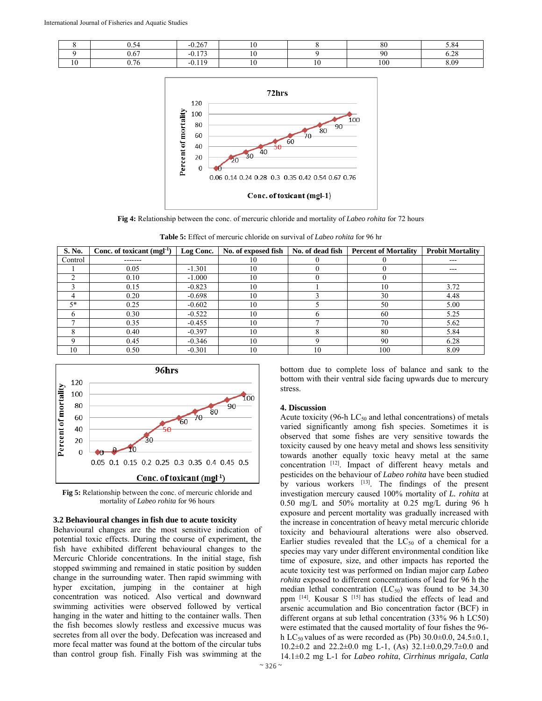|  | - -- |  |          |     |
|--|------|--|----------|-----|
|  | $ -$ |  |          | - - |
|  |      |  | $\Omega$ |     |



**Fig 4:** Relationship between the conc. of mercuric chloride and mortality of *Labeo rohita* for 72 hours

**Table 5:** Effect of mercuric chloride on survival of *Labeo rohita* for 96 hr

| S. No.  | Conc. of toxicant $(mgl-1)$ | Log Conc. | No. of exposed fish | No. of dead fish | <b>Percent of Mortality</b> | <b>Probit Mortality</b> |
|---------|-----------------------------|-----------|---------------------|------------------|-----------------------------|-------------------------|
| Control | -------                     |           | 10                  |                  |                             | ---                     |
|         | 0.05                        | $-1.301$  | 10                  |                  |                             | ---                     |
|         | 0.10                        | $-1.000$  | 10                  |                  |                             |                         |
|         | 0.15                        | $-0.823$  | 10                  |                  | 10                          | 3.72                    |
|         | 0.20                        | $-0.698$  | 10                  |                  | 30                          | 4.48                    |
| $5*$    | 0.25                        | $-0.602$  | 10                  |                  | 50                          | 5.00                    |
|         | 0.30                        | $-0.522$  | 10                  |                  | 60                          | 5.25                    |
|         | 0.35                        | $-0.455$  | 10                  |                  | 70                          | 5.62                    |
|         | 0.40                        | $-0.397$  | 10                  |                  | 80                          | 5.84                    |
|         | 0.45                        | $-0.346$  | 10                  |                  | 90                          | 6.28                    |
| 10      | 0.50                        | $-0.301$  | 10                  | 10               | 100                         | 8.09                    |



**Fig 5:** Relationship between the conc. of mercuric chloride and mortality of *Labeo rohita* for 96 hours

### **3.2 Behavioural changes in fish due to acute toxicity**

Behavioural changes are the most sensitive indication of potential toxic effects. During the course of experiment, the fish have exhibited different behavioural changes to the Mercuric Chloride concentrations. In the initial stage, fish stopped swimming and remained in static position by sudden change in the surrounding water. Then rapid swimming with hyper excitation, jumping in the container at high concentration was noticed. Also vertical and downward swimming activities were observed followed by vertical hanging in the water and hitting to the container walls. Then the fish becomes slowly restless and excessive mucus was secretes from all over the body. Defecation was increased and more fecal matter was found at the bottom of the circular tubs than control group fish. Finally Fish was swimming at the

bottom due to complete loss of balance and sank to the bottom with their ventral side facing upwards due to mercury stress.

#### **4. Discussion**

Acute toxicity (96-h  $LC_{50}$  and lethal concentrations) of metals varied significantly among fish species. Sometimes it is observed that some fishes are very sensitive towards the toxicity caused by one heavy metal and shows less sensitivity towards another equally toxic heavy metal at the same concentration [12]. Impact of different heavy metals and pesticides on the behaviour of *Labeo rohita* have been studied by various workers  $[13]$ . The findings of the present investigation mercury caused 100% mortality of *L. rohita* at 0.50 mg/L and 50% mortality at 0.25 mg/L during 96 h exposure and percent mortality was gradually increased with the increase in concentration of heavy metal mercuric chloride toxicity and behavioural alterations were also observed. Earlier studies revealed that the  $LC_{50}$  of a chemical for a species may vary under different environmental condition like time of exposure, size, and other impacts has reported the acute toxicity test was performed on Indian major carp *Labeo rohita* exposed to different concentrations of lead for 96 h the median lethal concentration  $(LC_{50})$  was found to be 34.30 ppm [14]. Kousar S [15] has studied the effects of lead and arsenic accumulation and Bio concentration factor (BCF) in different organs at sub lethal concentration (33% 96 h LC50) were estimated that the caused mortality of four fishes the 96 h LC<sub>50</sub> values of as were recorded as (Pb)  $30.0\pm0.0$ ,  $24.5\pm0.1$ , 10.2±0.2 and 22.2±0.0 mg L-1, (As) 32.1±0.0,29.7±0.0 and 14.1±0.2 mg L-1 for *Labeo rohita*, *Cirrhinus mrigala*, *Catla*